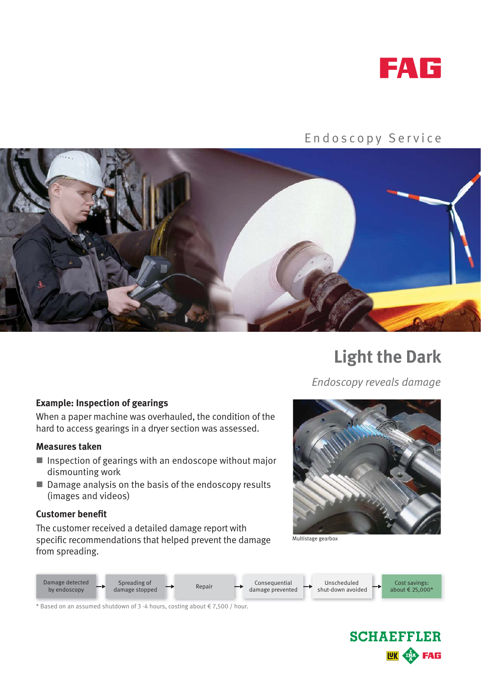

## Endoscopy Service



# **Light the Dark**

*Endoscopy reveals damage*

### **Example: Inspection of gearings**

When a paper machine was overhauled, the condition of the hard to access gearings in a dryer section was assessed.

#### **Measures taken**

- $\blacksquare$  Inspection of gearings with an endoscope without major dismounting work
- Damage analysis on the basis of the endoscopy results (images and videos)

#### **Customer benefit**

The customer received a detailed damage report with specific recommendations that helped prevent the damage from spreading.



Multistage gearbox



\* Based on an assumed shutdown of 3 -4 hours, costing about  $\epsilon$  7,500 / hour.